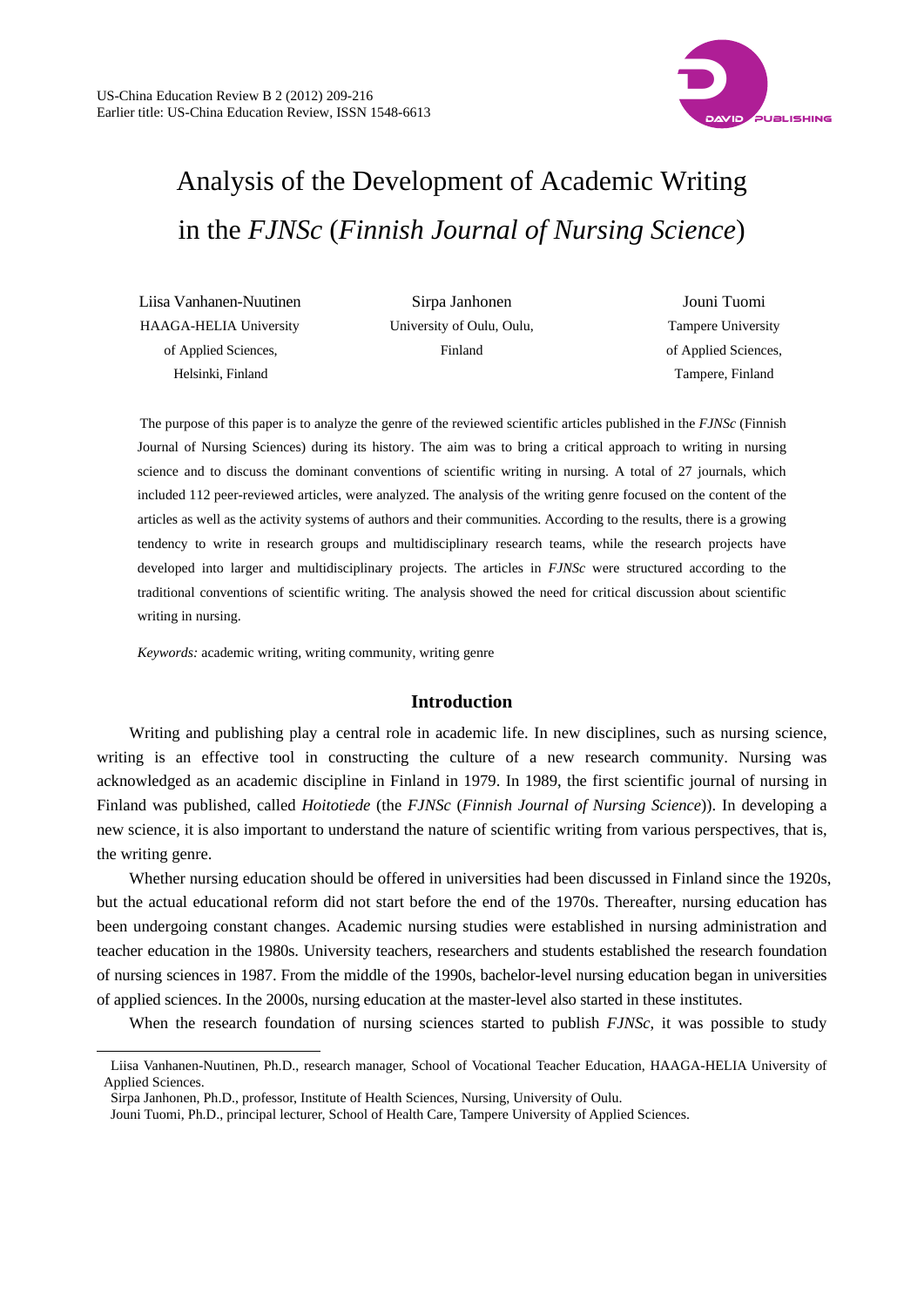

# Analysis of the Development of Academic Writing in the *FJNSc* (*Finnish Journal of Nursing Science*)

Liisa Vanhanen-Nuutinen HAAGA-HELIA University of Applied Sciences, Helsinki, Finland

l

Sirpa Janhonen University of Oulu, Oulu, Finland

Jouni Tuomi Tampere University of Applied Sciences, Tampere, Finland

The purpose of this paper is to analyze the genre of the reviewed scientific articles published in the *FJNSc* (Finnish Journal of Nursing Sciences) during its history. The aim was to bring a critical approach to writing in nursing science and to discuss the dominant conventions of scientific writing in nursing. A total of 27 journals, which included 112 peer-reviewed articles, were analyzed. The analysis of the writing genre focused on the content of the articles as well as the activity systems of authors and their communities. According to the results, there is a growing tendency to write in research groups and multidisciplinary research teams, while the research projects have developed into larger and multidisciplinary projects. The articles in *FJNSc* were structured according to the traditional conventions of scientific writing. The analysis showed the need for critical discussion about scientific writing in nursing.

*Keywords:* academic writing, writing community, writing genre

## **Introduction**

Writing and publishing play a central role in academic life. In new disciplines, such as nursing science, writing is an effective tool in constructing the culture of a new research community. Nursing was acknowledged as an academic discipline in Finland in 1979. In 1989, the first scientific journal of nursing in Finland was published, called *Hoitotiede* (the *FJNSc* (*Finnish Journal of Nursing Science*)). In developing a new science, it is also important to understand the nature of scientific writing from various perspectives, that is, the writing genre.

Whether nursing education should be offered in universities had been discussed in Finland since the 1920s, but the actual educational reform did not start before the end of the 1970s. Thereafter, nursing education has been undergoing constant changes. Academic nursing studies were established in nursing administration and teacher education in the 1980s. University teachers, researchers and students established the research foundation of nursing sciences in 1987. From the middle of the 1990s, bachelor-level nursing education began in universities of applied sciences. In the 2000s, nursing education at the master-level also started in these institutes.

When the research foundation of nursing sciences started to publish *FJNSc*, it was possible to study

Liisa Vanhanen-Nuutinen, Ph.D., research manager, School of Vocational Teacher Education, HAAGA-HELIA University of Applied Sciences.

Sirpa Janhonen, Ph.D., professor, Institute of Health Sciences, Nursing, University of Oulu.

Jouni Tuomi, Ph.D., principal lecturer, School of Health Care, Tampere University of Applied Sciences.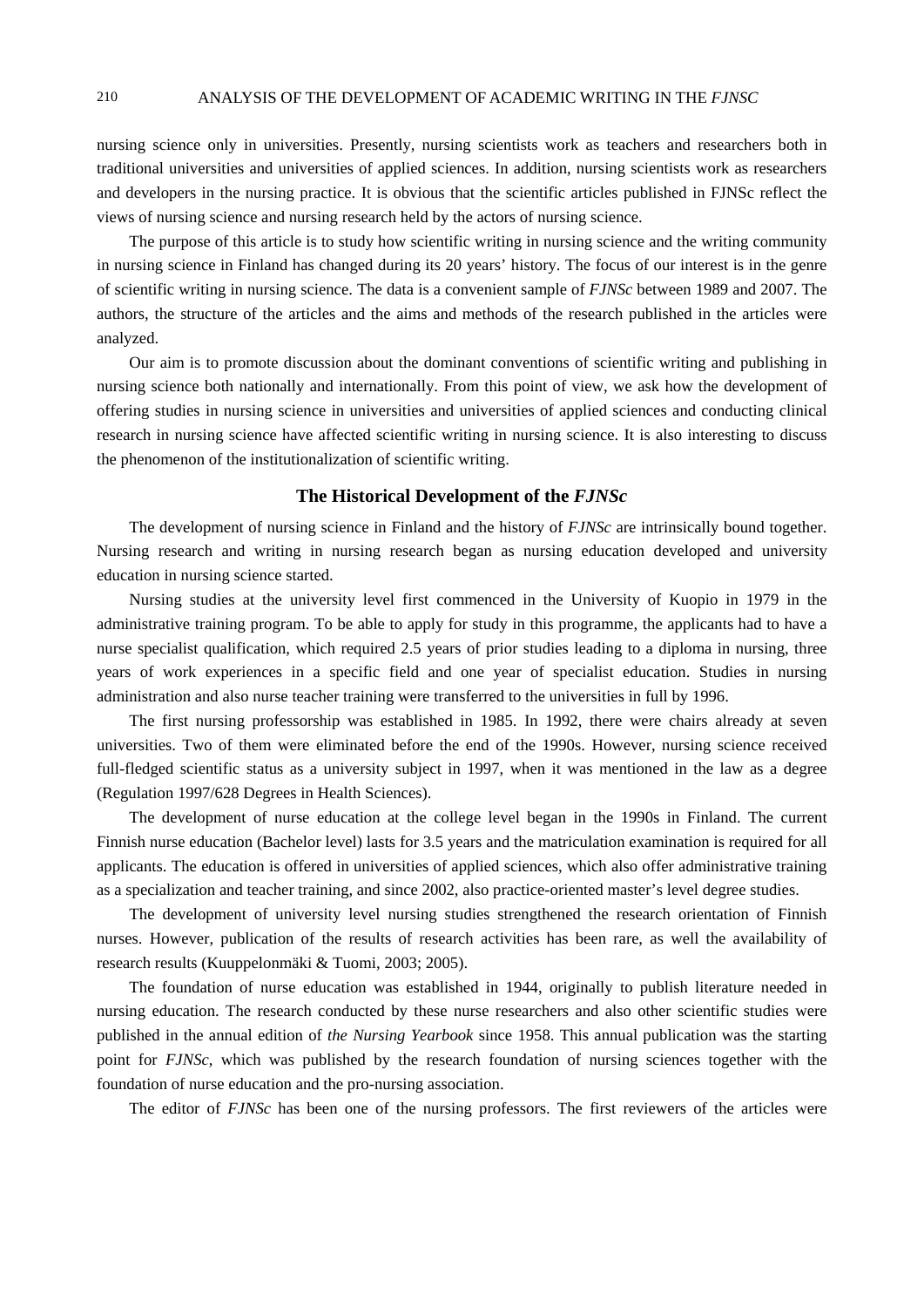nursing science only in universities. Presently, nursing scientists work as teachers and researchers both in traditional universities and universities of applied sciences. In addition, nursing scientists work as researchers and developers in the nursing practice. It is obvious that the scientific articles published in FJNSc reflect the views of nursing science and nursing research held by the actors of nursing science.

The purpose of this article is to study how scientific writing in nursing science and the writing community in nursing science in Finland has changed during its 20 years' history. The focus of our interest is in the genre of scientific writing in nursing science. The data is a convenient sample of *FJNSc* between 1989 and 2007. The authors, the structure of the articles and the aims and methods of the research published in the articles were analyzed.

Our aim is to promote discussion about the dominant conventions of scientific writing and publishing in nursing science both nationally and internationally. From this point of view, we ask how the development of offering studies in nursing science in universities and universities of applied sciences and conducting clinical research in nursing science have affected scientific writing in nursing science. It is also interesting to discuss the phenomenon of the institutionalization of scientific writing.

## **The Historical Development of the** *FJNSc*

The development of nursing science in Finland and the history of *FJNSc* are intrinsically bound together. Nursing research and writing in nursing research began as nursing education developed and university education in nursing science started.

Nursing studies at the university level first commenced in the University of Kuopio in 1979 in the administrative training program. To be able to apply for study in this programme, the applicants had to have a nurse specialist qualification, which required 2.5 years of prior studies leading to a diploma in nursing, three years of work experiences in a specific field and one year of specialist education. Studies in nursing administration and also nurse teacher training were transferred to the universities in full by 1996.

The first nursing professorship was established in 1985. In 1992, there were chairs already at seven universities. Two of them were eliminated before the end of the 1990s. However, nursing science received full-fledged scientific status as a university subject in 1997, when it was mentioned in the law as a degree (Regulation 1997/628 Degrees in Health Sciences).

The development of nurse education at the college level began in the 1990s in Finland. The current Finnish nurse education (Bachelor level) lasts for 3.5 years and the matriculation examination is required for all applicants. The education is offered in universities of applied sciences, which also offer administrative training as a specialization and teacher training, and since 2002, also practice-oriented master's level degree studies.

The development of university level nursing studies strengthened the research orientation of Finnish nurses. However, publication of the results of research activities has been rare, as well the availability of research results (Kuuppelonmäki & Tuomi, 2003; 2005).

The foundation of nurse education was established in 1944, originally to publish literature needed in nursing education. The research conducted by these nurse researchers and also other scientific studies were published in the annual edition of *the Nursing Yearbook* since 1958. This annual publication was the starting point for *FJNSc*, which was published by the research foundation of nursing sciences together with the foundation of nurse education and the pro-nursing association.

The editor of *FJNSc* has been one of the nursing professors. The first reviewers of the articles were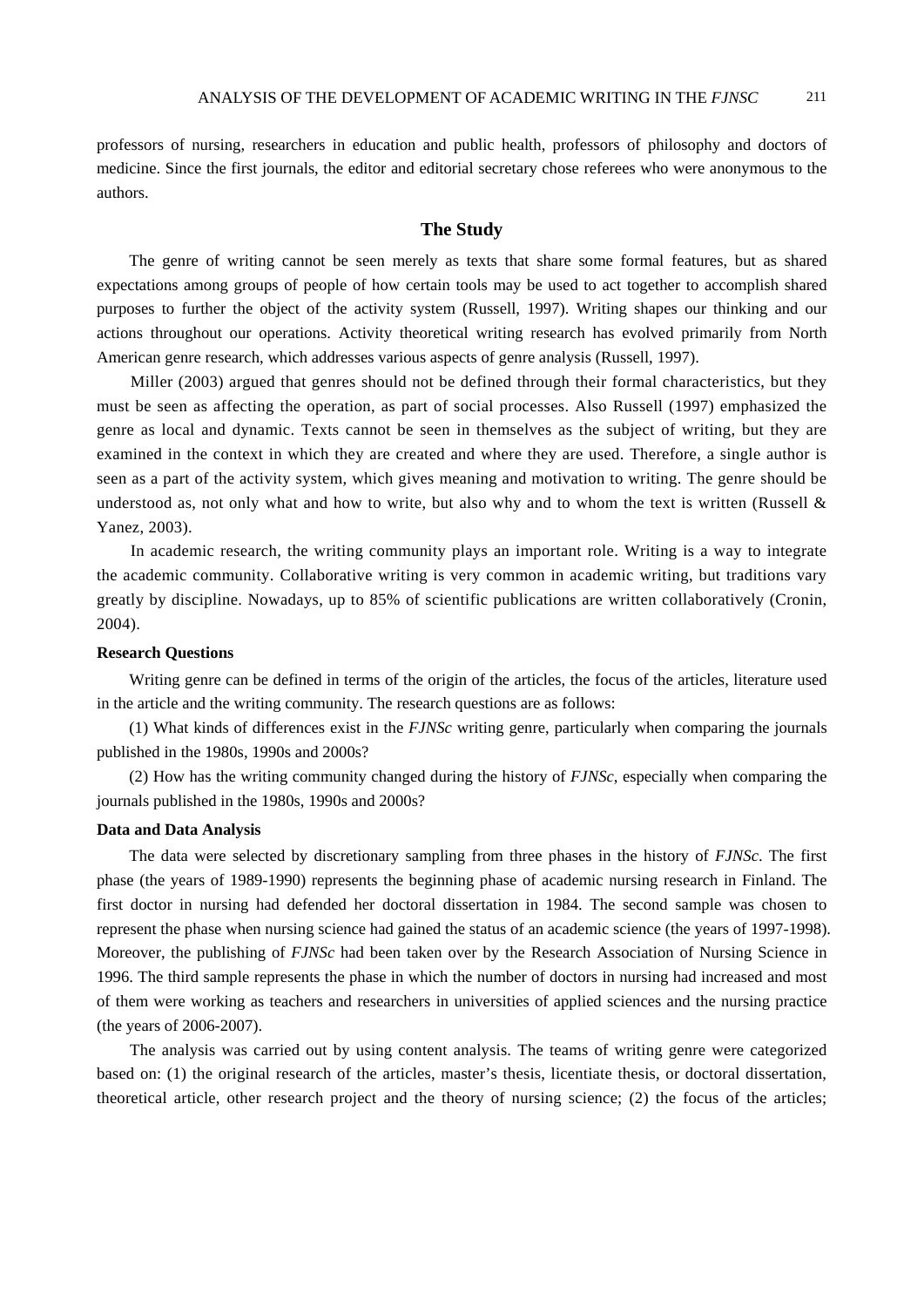professors of nursing, researchers in education and public health, professors of philosophy and doctors of medicine. Since the first journals, the editor and editorial secretary chose referees who were anonymous to the authors.

# **The Study**

The genre of writing cannot be seen merely as texts that share some formal features, but as shared expectations among groups of people of how certain tools may be used to act together to accomplish shared purposes to further the object of the activity system (Russell, 1997). Writing shapes our thinking and our actions throughout our operations. Activity theoretical writing research has evolved primarily from North American genre research, which addresses various aspects of genre analysis (Russell, 1997).

Miller (2003) argued that genres should not be defined through their formal characteristics, but they must be seen as affecting the operation, as part of social processes. Also Russell (1997) emphasized the genre as local and dynamic. Texts cannot be seen in themselves as the subject of writing, but they are examined in the context in which they are created and where they are used. Therefore, a single author is seen as a part of the activity system, which gives meaning and motivation to writing. The genre should be understood as, not only what and how to write, but also why and to whom the text is written (Russell  $\&$ Yanez, 2003).

In academic research, the writing community plays an important role. Writing is a way to integrate the academic community. Collaborative writing is very common in academic writing, but traditions vary greatly by discipline. Nowadays, up to 85% of scientific publications are written collaboratively (Cronin, 2004).

#### **Research Questions**

Writing genre can be defined in terms of the origin of the articles, the focus of the articles, literature used in the article and the writing community. The research questions are as follows:

(1) What kinds of differences exist in the *FJNSc* writing genre, particularly when comparing the journals published in the 1980s, 1990s and 2000s?

(2) How has the writing community changed during the history of *FJNSc*, especially when comparing the journals published in the 1980s, 1990s and 2000s?

#### **Data and Data Analysis**

The data were selected by discretionary sampling from three phases in the history of *FJNSc*. The first phase (the years of 1989-1990) represents the beginning phase of academic nursing research in Finland. The first doctor in nursing had defended her doctoral dissertation in 1984. The second sample was chosen to represent the phase when nursing science had gained the status of an academic science (the years of 1997-1998). Moreover, the publishing of *FJNSc* had been taken over by the Research Association of Nursing Science in 1996. The third sample represents the phase in which the number of doctors in nursing had increased and most of them were working as teachers and researchers in universities of applied sciences and the nursing practice (the years of 2006-2007).

The analysis was carried out by using content analysis. The teams of writing genre were categorized based on: (1) the original research of the articles, master's thesis, licentiate thesis, or doctoral dissertation, theoretical article, other research project and the theory of nursing science; (2) the focus of the articles;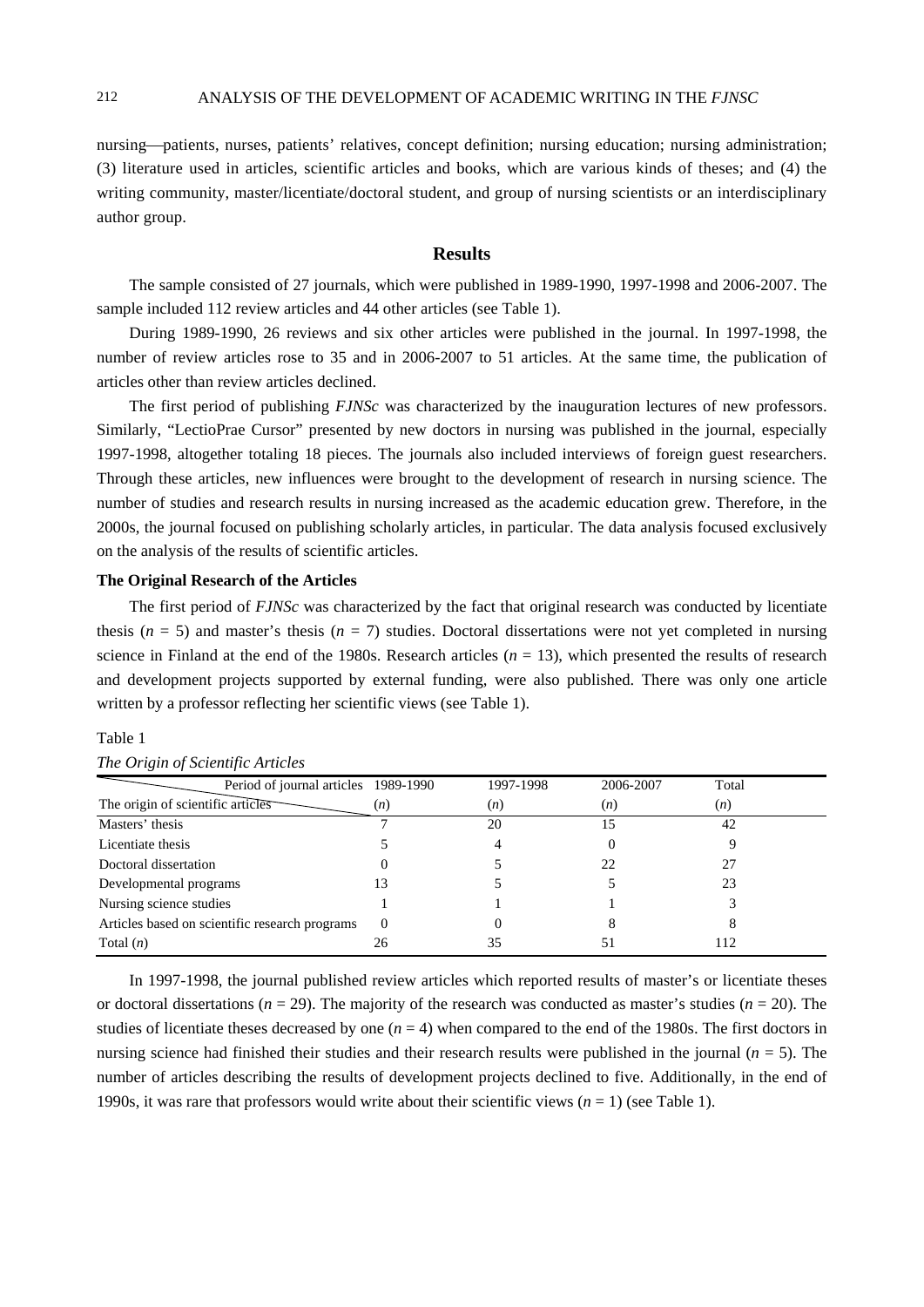nursing—patients, nurses, patients' relatives, concept definition; nursing education; nursing administration; (3) literature used in articles, scientific articles and books, which are various kinds of theses; and (4) the writing community, master/licentiate/doctoral student, and group of nursing scientists or an interdisciplinary author group.

## **Results**

The sample consisted of 27 journals, which were published in 1989-1990, 1997-1998 and 2006-2007. The sample included 112 review articles and 44 other articles (see Table 1).

During 1989-1990, 26 reviews and six other articles were published in the journal. In 1997-1998, the number of review articles rose to 35 and in 2006-2007 to 51 articles. At the same time, the publication of articles other than review articles declined.

The first period of publishing *FJNSc* was characterized by the inauguration lectures of new professors. Similarly, "LectioPrae Cursor" presented by new doctors in nursing was published in the journal, especially 1997-1998, altogether totaling 18 pieces. The journals also included interviews of foreign guest researchers. Through these articles, new influences were brought to the development of research in nursing science. The number of studies and research results in nursing increased as the academic education grew. Therefore, in the 2000s, the journal focused on publishing scholarly articles, in particular. The data analysis focused exclusively on the analysis of the results of scientific articles.

#### **The Original Research of the Articles**

The first period of *FJNSc* was characterized by the fact that original research was conducted by licentiate thesis ( $n = 5$ ) and master's thesis ( $n = 7$ ) studies. Doctoral dissertations were not yet completed in nursing science in Finland at the end of the 1980s. Research articles  $(n = 13)$ , which presented the results of research and development projects supported by external funding, were also published. There was only one article written by a professor reflecting her scientific views (see Table 1).

#### Table 1

| Period of journal articles 1989-1990           |          | 1997-1998 | 2006-2007 | Total |  |
|------------------------------------------------|----------|-----------|-----------|-------|--|
| The origin of scientific articles              | (n)      | (n)       | (n)       | (n)   |  |
| Masters' thesis                                |          | 20        | 15        | 42    |  |
| Licentiate thesis                              |          |           |           |       |  |
| Doctoral dissertation                          |          |           | 22        |       |  |
| Developmental programs                         |          |           |           | 23    |  |
| Nursing science studies                        |          |           |           |       |  |
| Articles based on scientific research programs | $\Omega$ |           |           |       |  |
| Total $(n)$                                    | 26       | 35        | 51        | 112   |  |

|  | The Origin of Scientific Articles |  |
|--|-----------------------------------|--|

In 1997-1998, the journal published review articles which reported results of master's or licentiate theses or doctoral dissertations  $(n = 29)$ . The majority of the research was conducted as master's studies  $(n = 20)$ . The studies of licentiate theses decreased by one  $(n = 4)$  when compared to the end of the 1980s. The first doctors in nursing science had finished their studies and their research results were published in the journal (*n* = 5). The number of articles describing the results of development projects declined to five. Additionally, in the end of 1990s, it was rare that professors would write about their scientific views (*n* = 1) (see Table 1).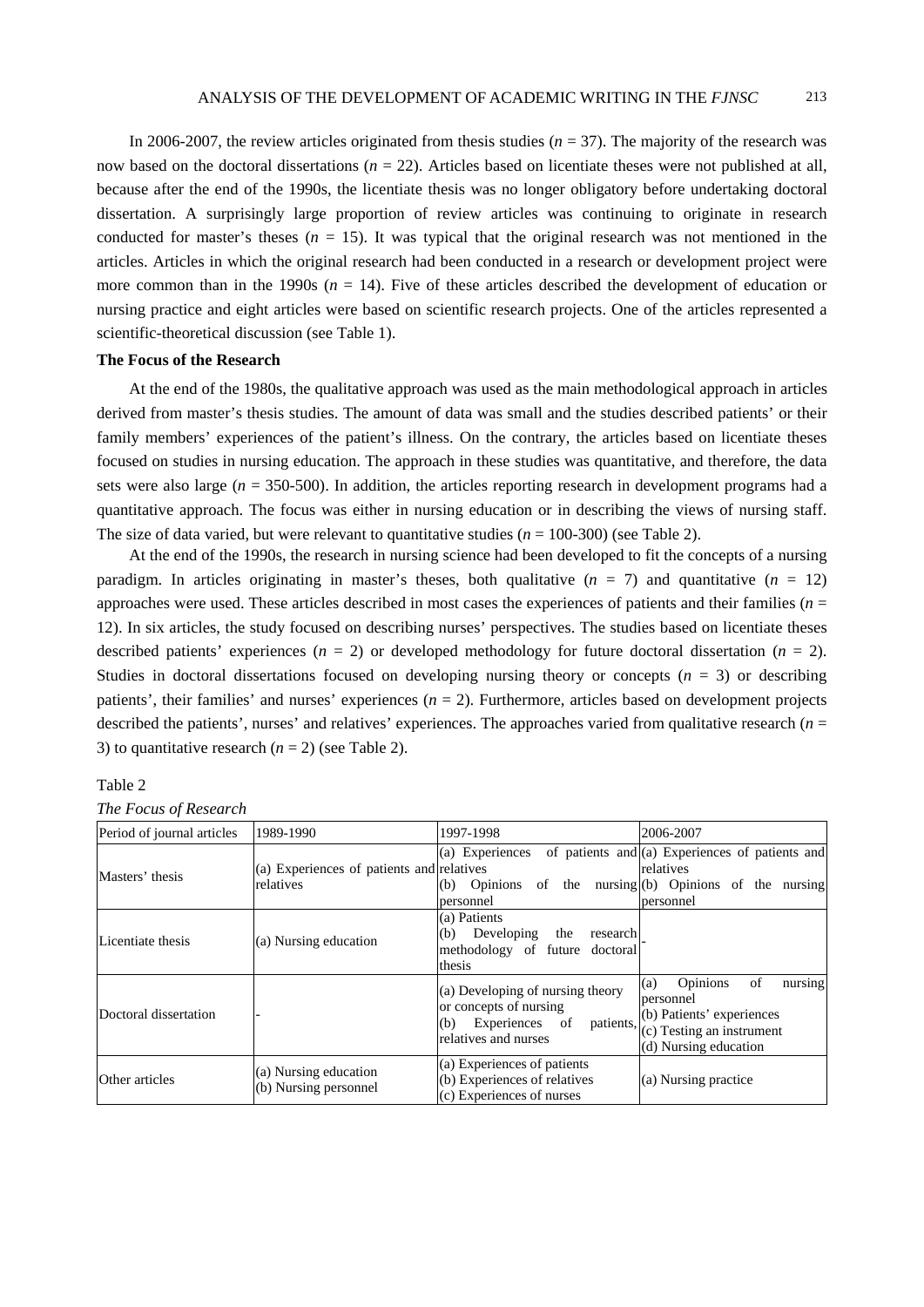In 2006-2007, the review articles originated from thesis studies  $(n = 37)$ . The majority of the research was now based on the doctoral dissertations ( $n = 22$ ). Articles based on licentiate theses were not published at all, because after the end of the 1990s, the licentiate thesis was no longer obligatory before undertaking doctoral dissertation. A surprisingly large proportion of review articles was continuing to originate in research conducted for master's theses  $(n = 15)$ . It was typical that the original research was not mentioned in the articles. Articles in which the original research had been conducted in a research or development project were more common than in the 1990s ( $n = 14$ ). Five of these articles described the development of education or nursing practice and eight articles were based on scientific research projects. One of the articles represented a scientific-theoretical discussion (see Table 1).

# **The Focus of the Research**

At the end of the 1980s, the qualitative approach was used as the main methodological approach in articles derived from master's thesis studies. The amount of data was small and the studies described patients' or their family members' experiences of the patient's illness. On the contrary, the articles based on licentiate theses focused on studies in nursing education. The approach in these studies was quantitative, and therefore, the data sets were also large ( $n = 350-500$ ). In addition, the articles reporting research in development programs had a quantitative approach. The focus was either in nursing education or in describing the views of nursing staff. The size of data varied, but were relevant to quantitative studies  $(n = 100-300)$  (see Table 2).

At the end of the 1990s, the research in nursing science had been developed to fit the concepts of a nursing paradigm. In articles originating in master's theses, both qualitative  $(n = 7)$  and quantitative  $(n = 12)$ approaches were used. These articles described in most cases the experiences of patients and their families (*n* = 12). In six articles, the study focused on describing nurses' perspectives. The studies based on licentiate theses described patients' experiences  $(n = 2)$  or developed methodology for future doctoral dissertation  $(n = 2)$ . Studies in doctoral dissertations focused on developing nursing theory or concepts  $(n = 3)$  or describing patients', their families' and nurses' experiences (*n* = 2). Furthermore, articles based on development projects described the patients', nurses' and relatives' experiences. The approaches varied from qualitative research (*n* = 3) to quantitative research  $(n = 2)$  (see Table 2).

#### Table 2

|  | The Focus of Research |
|--|-----------------------|
|--|-----------------------|

| Period of journal articles | 1989-1990                                              | 1997-1998                                                                                                                | 2006-2007                                                                                                                               |
|----------------------------|--------------------------------------------------------|--------------------------------------------------------------------------------------------------------------------------|-----------------------------------------------------------------------------------------------------------------------------------------|
| Masters' thesis            | (a) Experiences of patients and relatives<br>relatives | (a) Experiences<br>(b) Opinions of the nursing (b) Opinions of the nursing<br>personnel                                  | of patients and (a) Experiences of patients and<br>relatives<br>personnel                                                               |
| Licentiate thesis          | (a) Nursing education                                  | (a) Patients<br>Developing<br>(b)<br>the<br>research<br>methodology of future doctoral<br>thesis                         |                                                                                                                                         |
| Doctoral dissertation      |                                                        | (a) Developing of nursing theory<br>or concepts of nursing<br>patients,<br>Experiences of<br>(b)<br>relatives and nurses | <b>Opinions</b><br>of<br>(a)<br>nursing<br>personnel<br>(b) Patients' experiences<br>(c) Testing an instrument<br>(d) Nursing education |
| Other articles             | (a) Nursing education<br>(b) Nursing personnel         | (a) Experiences of patients<br>(b) Experiences of relatives<br>(c) Experiences of nurses                                 | (a) Nursing practice                                                                                                                    |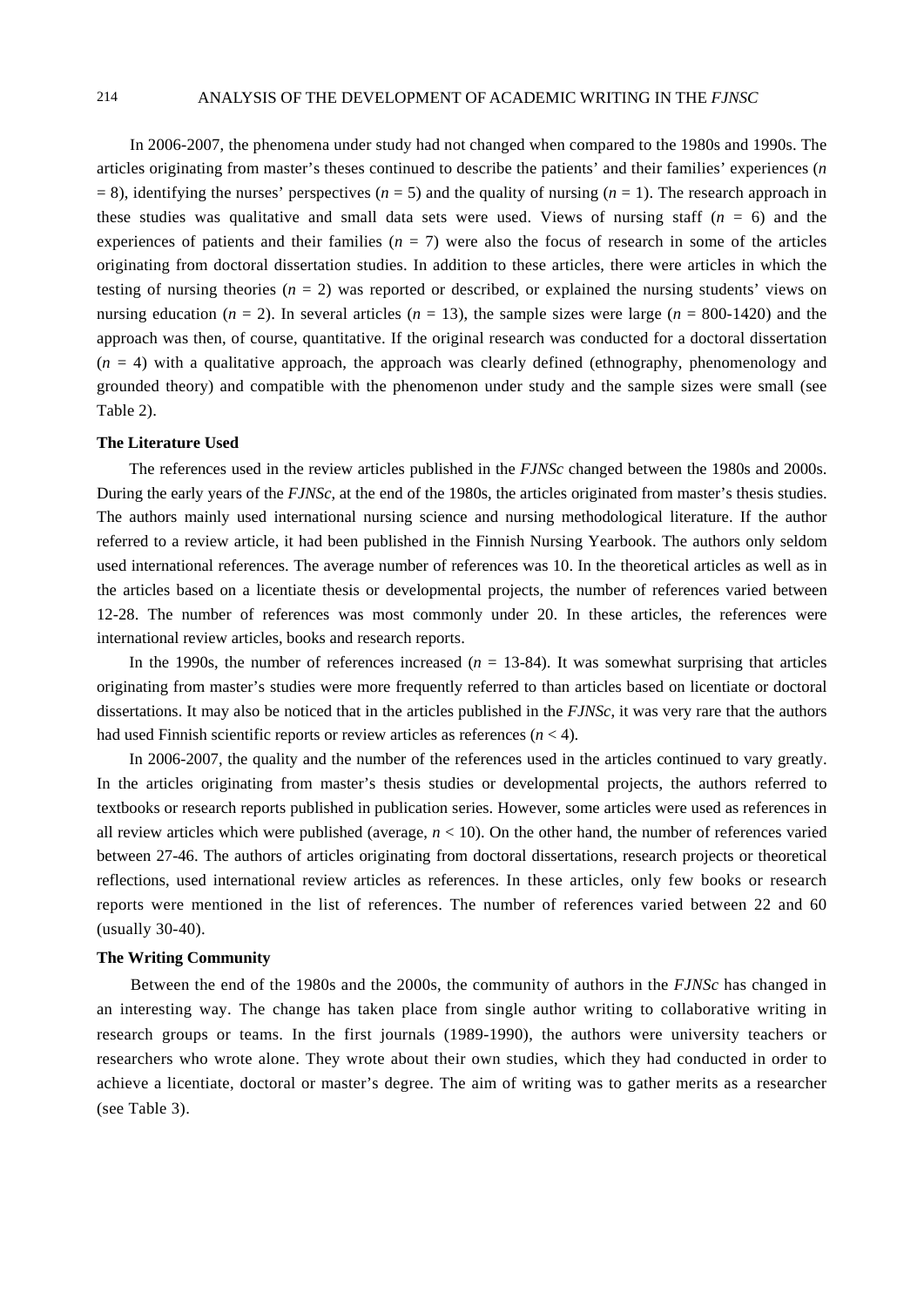# 214 ANALYSIS OF THE DEVELOPMENT OF ACADEMIC WRITING IN THE *FJNSC*

In 2006-2007, the phenomena under study had not changed when compared to the 1980s and 1990s. The articles originating from master's theses continued to describe the patients' and their families' experiences (*n*  $= 8$ ), identifying the nurses' perspectives ( $n = 5$ ) and the quality of nursing ( $n = 1$ ). The research approach in these studies was qualitative and small data sets were used. Views of nursing staff  $(n = 6)$  and the experiences of patients and their families  $(n = 7)$  were also the focus of research in some of the articles originating from doctoral dissertation studies. In addition to these articles, there were articles in which the testing of nursing theories  $(n = 2)$  was reported or described, or explained the nursing students' views on nursing education ( $n = 2$ ). In several articles ( $n = 13$ ), the sample sizes were large ( $n = 800-1420$ ) and the approach was then, of course, quantitative. If the original research was conducted for a doctoral dissertation  $(n = 4)$  with a qualitative approach, the approach was clearly defined (ethnography, phenomenology and grounded theory) and compatible with the phenomenon under study and the sample sizes were small (see Table 2).

#### **The Literature Used**

The references used in the review articles published in the *FJNSc* changed between the 1980s and 2000s. During the early years of the *FJNSc*, at the end of the 1980s, the articles originated from master's thesis studies. The authors mainly used international nursing science and nursing methodological literature. If the author referred to a review article, it had been published in the Finnish Nursing Yearbook. The authors only seldom used international references. The average number of references was 10. In the theoretical articles as well as in the articles based on a licentiate thesis or developmental projects, the number of references varied between 12-28. The number of references was most commonly under 20. In these articles, the references were international review articles, books and research reports.

In the 1990s, the number of references increased  $(n = 13-84)$ . It was somewhat surprising that articles originating from master's studies were more frequently referred to than articles based on licentiate or doctoral dissertations. It may also be noticed that in the articles published in the *FJNSc*, it was very rare that the authors had used Finnish scientific reports or review articles as references (*n* < 4).

In 2006-2007, the quality and the number of the references used in the articles continued to vary greatly. In the articles originating from master's thesis studies or developmental projects, the authors referred to textbooks or research reports published in publication series. However, some articles were used as references in all review articles which were published (average, *n* < 10). On the other hand, the number of references varied between 27-46. The authors of articles originating from doctoral dissertations, research projects or theoretical reflections, used international review articles as references. In these articles, only few books or research reports were mentioned in the list of references. The number of references varied between 22 and 60 (usually 30-40).

## **The Writing Community**

Between the end of the 1980s and the 2000s, the community of authors in the *FJNSc* has changed in an interesting way. The change has taken place from single author writing to collaborative writing in research groups or teams. In the first journals (1989-1990), the authors were university teachers or researchers who wrote alone. They wrote about their own studies, which they had conducted in order to achieve a licentiate, doctoral or master's degree. The aim of writing was to gather merits as a researcher (see Table 3).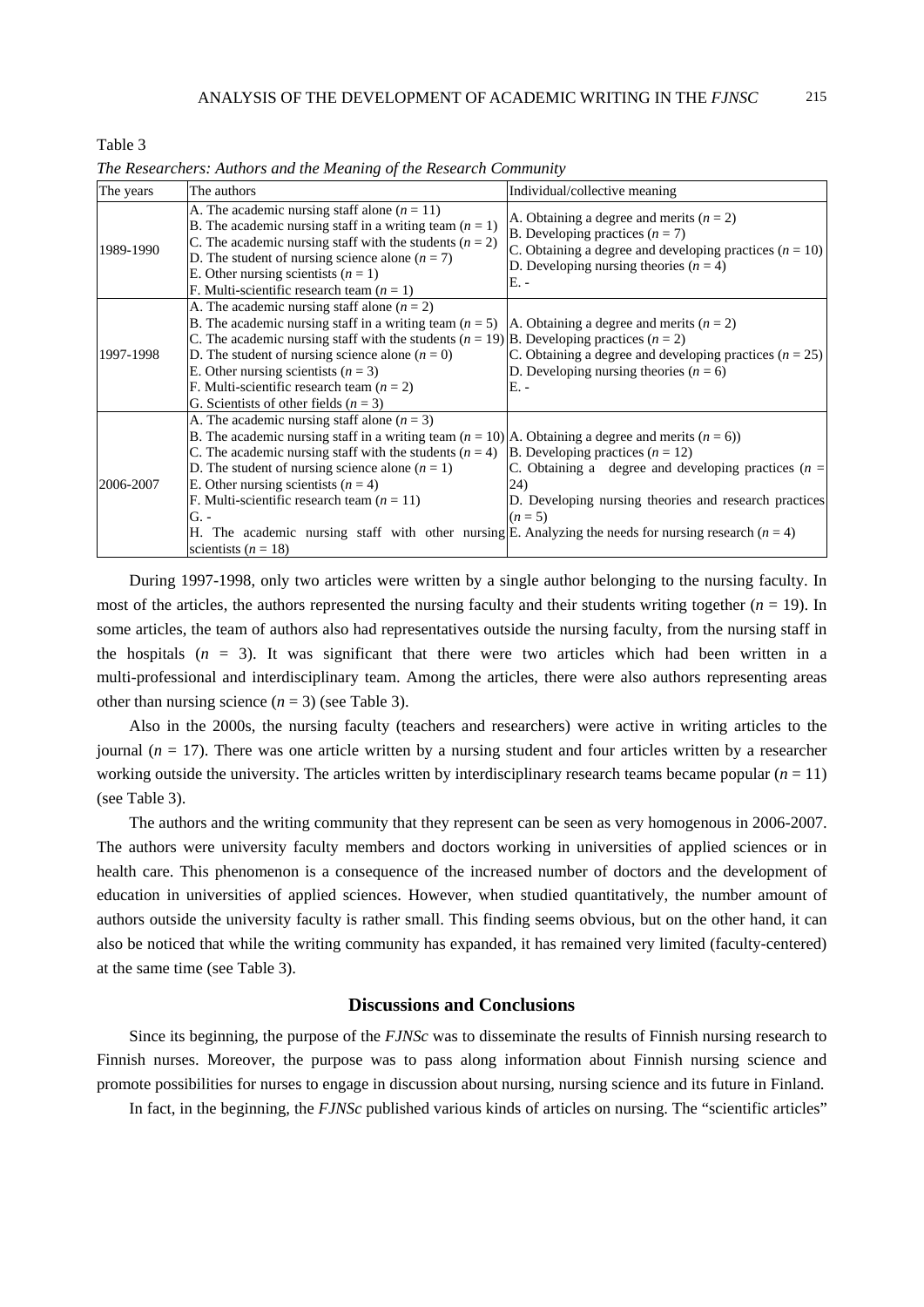| The years | The authors                                                                                                                                                                                                                                                                                                                                                                                                                                                                                                                                           | Individual/collective meaning                                                                                                                                                                    |
|-----------|-------------------------------------------------------------------------------------------------------------------------------------------------------------------------------------------------------------------------------------------------------------------------------------------------------------------------------------------------------------------------------------------------------------------------------------------------------------------------------------------------------------------------------------------------------|--------------------------------------------------------------------------------------------------------------------------------------------------------------------------------------------------|
| 1989-1990 | A. The academic nursing staff alone $(n = 11)$<br>B. The academic nursing staff in a writing team $(n = 1)$<br>C. The academic nursing staff with the students $(n = 2)$<br>D. The student of nursing science alone $(n = 7)$<br>E. Other nursing scientists $(n = 1)$<br>F. Multi-scientific research team $(n = 1)$                                                                                                                                                                                                                                 | A. Obtaining a degree and merits $(n = 2)$<br>B. Developing practices $(n = 7)$<br>C. Obtaining a degree and developing practices $(n = 10)$<br>D. Developing nursing theories $(n = 4)$<br>E. - |
| 1997-1998 | A. The academic nursing staff alone $(n = 2)$<br>B. The academic nursing staff in a writing team $(n=5)$  A. Obtaining a degree and merits $(n=2)$<br>C. The academic nursing staff with the students $(n = 19)$ B. Developing practices $(n = 2)$<br>D. The student of nursing science alone $(n = 0)$<br>E. Other nursing scientists ( $n = 3$ )<br>F. Multi-scientific research team $(n = 2)$<br>G. Scientists of other fields ( $n = 3$ )                                                                                                        | C. Obtaining a degree and developing practices $(n = 25)$<br>D. Developing nursing theories $(n = 6)$<br>E. -                                                                                    |
| 2006-2007 | A. The academic nursing staff alone $(n = 3)$<br>B. The academic nursing staff in a writing team $(n = 10)$ A. Obtaining a degree and merits $(n = 6)$ )<br>C. The academic nursing staff with the students $(n = 4)$ B. Developing practices $(n = 12)$<br>D. The student of nursing science alone $(n = 1)$<br>E. Other nursing scientists ( $n = 4$ )<br>F. Multi-scientific research team $(n = 11)$<br>G. -<br>H. The academic nursing staff with other nursing E. Analyzing the needs for nursing research $(n = 4)$<br>scientists ( $n = 18$ ) | C. Obtaining a degree and developing practices $(n =$<br>24)<br>D. Developing nursing theories and research practices<br>$(n=5)$                                                                 |

*The Researchers: Authors and the Meaning of the Research Community* 

Table 3

During 1997-1998, only two articles were written by a single author belonging to the nursing faculty. In most of the articles, the authors represented the nursing faculty and their students writing together  $(n = 19)$ . In some articles, the team of authors also had representatives outside the nursing faculty, from the nursing staff in the hospitals  $(n = 3)$ . It was significant that there were two articles which had been written in a multi-professional and interdisciplinary team. Among the articles, there were also authors representing areas other than nursing science  $(n = 3)$  (see Table 3).

Also in the 2000s, the nursing faculty (teachers and researchers) were active in writing articles to the journal ( $n = 17$ ). There was one article written by a nursing student and four articles written by a researcher working outside the university. The articles written by interdisciplinary research teams became popular  $(n = 11)$ (see Table 3).

The authors and the writing community that they represent can be seen as very homogenous in 2006-2007. The authors were university faculty members and doctors working in universities of applied sciences or in health care. This phenomenon is a consequence of the increased number of doctors and the development of education in universities of applied sciences. However, when studied quantitatively, the number amount of authors outside the university faculty is rather small. This finding seems obvious, but on the other hand, it can also be noticed that while the writing community has expanded, it has remained very limited (faculty-centered) at the same time (see Table 3).

## **Discussions and Conclusions**

Since its beginning, the purpose of the *FJNSc* was to disseminate the results of Finnish nursing research to Finnish nurses. Moreover, the purpose was to pass along information about Finnish nursing science and promote possibilities for nurses to engage in discussion about nursing, nursing science and its future in Finland.

In fact, in the beginning, the *FJNSc* published various kinds of articles on nursing. The "scientific articles"